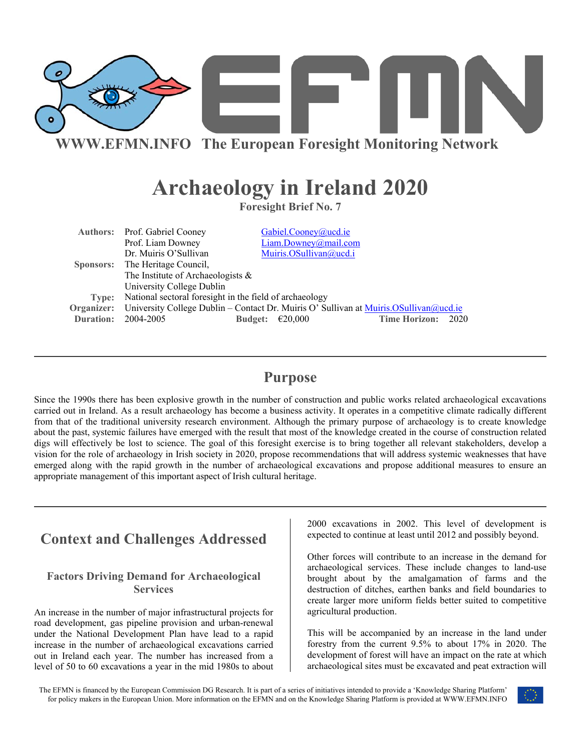

**WWW.EFMN.INFO The European Foresight Monitoring Network**

# **Archaeology in Ireland 2020**

**Foresight Brief No. 7** 

|           | <b>Authors:</b> Prof. Gabriel Cooney                                                               |  | Gabiel.Cooney@ucd.ie   |  |                      |      |
|-----------|----------------------------------------------------------------------------------------------------|--|------------------------|--|----------------------|------|
|           | Prof. Liam Downey                                                                                  |  | Liam.Downey@mail.com   |  |                      |      |
|           | Dr. Muiris O'Sullivan                                                                              |  | Muiris.OSullivan@ucd.i |  |                      |      |
|           | Sponsors: The Heritage Council,                                                                    |  |                        |  |                      |      |
|           | The Institute of Archaeologists $\&$                                                               |  |                        |  |                      |      |
|           | University College Dublin                                                                          |  |                        |  |                      |      |
| Type:     | National sectoral foresight in the field of archaeology                                            |  |                        |  |                      |      |
|           | Organizer: University College Dublin – Contact Dr. Muiris O' Sullivan at Muiris. OSullivan @ucd.ie |  |                        |  |                      |      |
| Duration: | 2004-2005<br><b>Budget:</b>                                                                        |  | €20.000                |  | <b>Time Horizon:</b> | 2020 |

## **Purpose**

Since the 1990s there has been explosive growth in the number of construction and public works related archaeological excavations carried out in Ireland. As a result archaeology has become a business activity. It operates in a competitive climate radically different from that of the traditional university research environment. Although the primary purpose of archaeology is to create knowledge about the past, systemic failures have emerged with the result that most of the knowledge created in the course of construction related digs will effectively be lost to science. The goal of this foresight exercise is to bring together all relevant stakeholders, develop a vision for the role of archaeology in Irish society in 2020, propose recommendations that will address systemic weaknesses that have emerged along with the rapid growth in the number of archaeological excavations and propose additional measures to ensure an appropriate management of this important aspect of Irish cultural heritage.

# **Context and Challenges Addressed**

### **Factors Driving Demand for Archaeological Services**

An increase in the number of major infrastructural projects for road development, gas pipeline provision and urban-renewal under the National Development Plan have lead to a rapid increase in the number of archaeological excavations carried out in Ireland each year. The number has increased from a level of 50 to 60 excavations a year in the mid 1980s to about 2000 excavations in 2002. This level of development is expected to continue at least until 2012 and possibly beyond.

Other forces will contribute to an increase in the demand for archaeological services. These include changes to land-use brought about by the amalgamation of farms and the destruction of ditches, earthen banks and field boundaries to create larger more uniform fields better suited to competitive agricultural production.

This will be accompanied by an increase in the land under forestry from the current 9.5% to about 17% in 2020. The development of forest will have an impact on the rate at which archaeological sites must be excavated and peat extraction will

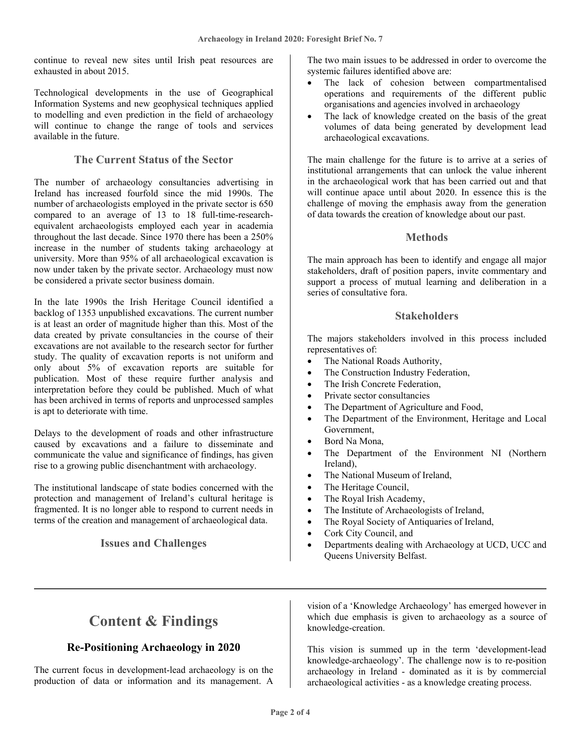continue to reveal new sites until Irish peat resources are exhausted in about 2015.

Technological developments in the use of Geographical Information Systems and new geophysical techniques applied to modelling and even prediction in the field of archaeology will continue to change the range of tools and services available in the future.

#### **The Current Status of the Sector**

The number of archaeology consultancies advertising in Ireland has increased fourfold since the mid 1990s. The number of archaeologists employed in the private sector is 650 compared to an average of 13 to 18 full-time-researchequivalent archaeologists employed each year in academia throughout the last decade. Since 1970 there has been a 250% increase in the number of students taking archaeology at university. More than 95% of all archaeological excavation is now under taken by the private sector. Archaeology must now be considered a private sector business domain.

In the late 1990s the Irish Heritage Council identified a backlog of 1353 unpublished excavations. The current number is at least an order of magnitude higher than this. Most of the data created by private consultancies in the course of their excavations are not available to the research sector for further study. The quality of excavation reports is not uniform and only about 5% of excavation reports are suitable for publication. Most of these require further analysis and interpretation before they could be published. Much of what has been archived in terms of reports and unprocessed samples is apt to deteriorate with time.

Delays to the development of roads and other infrastructure caused by excavations and a failure to disseminate and communicate the value and significance of findings, has given rise to a growing public disenchantment with archaeology.

The institutional landscape of state bodies concerned with the protection and management of Ireland's cultural heritage is fragmented. It is no longer able to respond to current needs in terms of the creation and management of archaeological data.

#### **Issues and Challenges**

The two main issues to be addressed in order to overcome the systemic failures identified above are:

- The lack of cohesion between compartmentalised operations and requirements of the different public organisations and agencies involved in archaeology
- The lack of knowledge created on the basis of the great volumes of data being generated by development lead archaeological excavations.

The main challenge for the future is to arrive at a series of institutional arrangements that can unlock the value inherent in the archaeological work that has been carried out and that will continue apace until about 2020. In essence this is the challenge of moving the emphasis away from the generation of data towards the creation of knowledge about our past.

#### **Methods**

The main approach has been to identify and engage all major stakeholders, draft of position papers, invite commentary and support a process of mutual learning and deliberation in a series of consultative fora.

#### **Stakeholders**

The majors stakeholders involved in this process included representatives of:

- The National Roads Authority,
- The Construction Industry Federation,
- The Irish Concrete Federation,
- Private sector consultancies
- The Department of Agriculture and Food,
- The Department of the Environment, Heritage and Local Government,
- Bord Na Mona,
- The Department of the Environment NI (Northern Ireland),
- The National Museum of Ireland,
- The Heritage Council,
- The Royal Irish Academy,
- The Institute of Archaeologists of Ireland,
- The Royal Society of Antiquaries of Ireland,
- Cork City Council, and
- Departments dealing with Archaeology at UCD, UCC and Queens University Belfast.

# **Content & Findings**

### **Re-Positioning Archaeology in 2020**

The current focus in development-lead archaeology is on the production of data or information and its management. A

vision of a 'Knowledge Archaeology' has emerged however in which due emphasis is given to archaeology as a source of knowledge-creation.

This vision is summed up in the term 'development-lead knowledge-archaeology'. The challenge now is to re-position archaeology in Ireland - dominated as it is by commercial archaeological activities - as a knowledge creating process.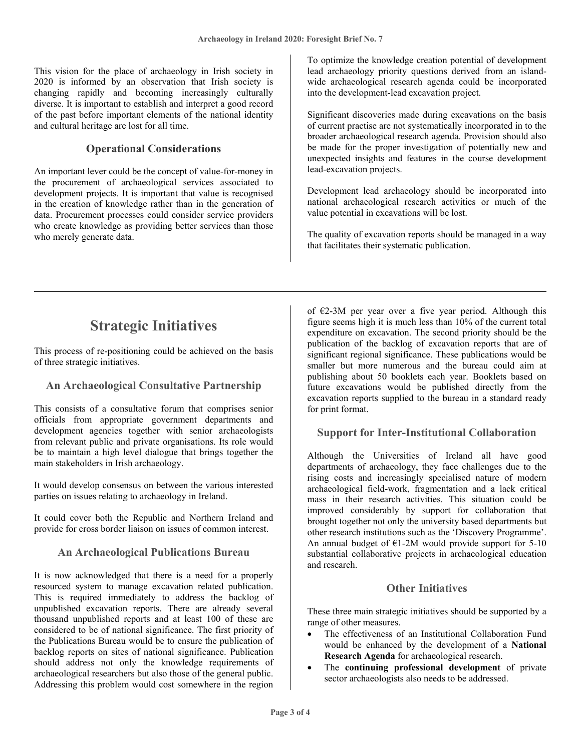This vision for the place of archaeology in Irish society in 2020 is informed by an observation that Irish society is changing rapidly and becoming increasingly culturally diverse. It is important to establish and interpret a good record of the past before important elements of the national identity and cultural heritage are lost for all time.

### **Operational Considerations**

An important lever could be the concept of value-for-money in the procurement of archaeological services associated to development projects. It is important that value is recognised in the creation of knowledge rather than in the generation of data. Procurement processes could consider service providers who create knowledge as providing better services than those who merely generate data.

To optimize the knowledge creation potential of development lead archaeology priority questions derived from an islandwide archaeological research agenda could be incorporated into the development-lead excavation project.

Significant discoveries made during excavations on the basis of current practise are not systematically incorporated in to the broader archaeological research agenda. Provision should also be made for the proper investigation of potentially new and unexpected insights and features in the course development lead-excavation projects.

Development lead archaeology should be incorporated into national archaeological research activities or much of the value potential in excavations will be lost.

The quality of excavation reports should be managed in a way that facilitates their systematic publication.

# **Strategic Initiatives**

This process of re-positioning could be achieved on the basis of three strategic initiatives.

### **An Archaeological Consultative Partnership**

This consists of a consultative forum that comprises senior officials from appropriate government departments and development agencies together with senior archaeologists from relevant public and private organisations. Its role would be to maintain a high level dialogue that brings together the main stakeholders in Irish archaeology.

It would develop consensus on between the various interested parties on issues relating to archaeology in Ireland.

It could cover both the Republic and Northern Ireland and provide for cross border liaison on issues of common interest.

### **An Archaeological Publications Bureau**

It is now acknowledged that there is a need for a properly resourced system to manage excavation related publication. This is required immediately to address the backlog of unpublished excavation reports. There are already several thousand unpublished reports and at least 100 of these are considered to be of national significance. The first priority of the Publications Bureau would be to ensure the publication of backlog reports on sites of national significance. Publication should address not only the knowledge requirements of archaeological researchers but also those of the general public. Addressing this problem would cost somewhere in the region

of  $E2-3M$  per year over a five year period. Although this figure seems high it is much less than 10% of the current total expenditure on excavation. The second priority should be the publication of the backlog of excavation reports that are of significant regional significance. These publications would be smaller but more numerous and the bureau could aim at publishing about 50 booklets each year. Booklets based on future excavations would be published directly from the excavation reports supplied to the bureau in a standard ready for print format.

### **Support for Inter-Institutional Collaboration**

Although the Universities of Ireland all have good departments of archaeology, they face challenges due to the rising costs and increasingly specialised nature of modern archaeological field-work, fragmentation and a lack critical mass in their research activities. This situation could be improved considerably by support for collaboration that brought together not only the university based departments but other research institutions such as the 'Discovery Programme'. An annual budget of  $E1-2M$  would provide support for 5-10 substantial collaborative projects in archaeological education and research.

#### **Other Initiatives**

These three main strategic initiatives should be supported by a range of other measures.

- The effectiveness of an Institutional Collaboration Fund would be enhanced by the development of a **National Research Agenda** for archaeological research.
- The **continuing professional development** of private sector archaeologists also needs to be addressed.